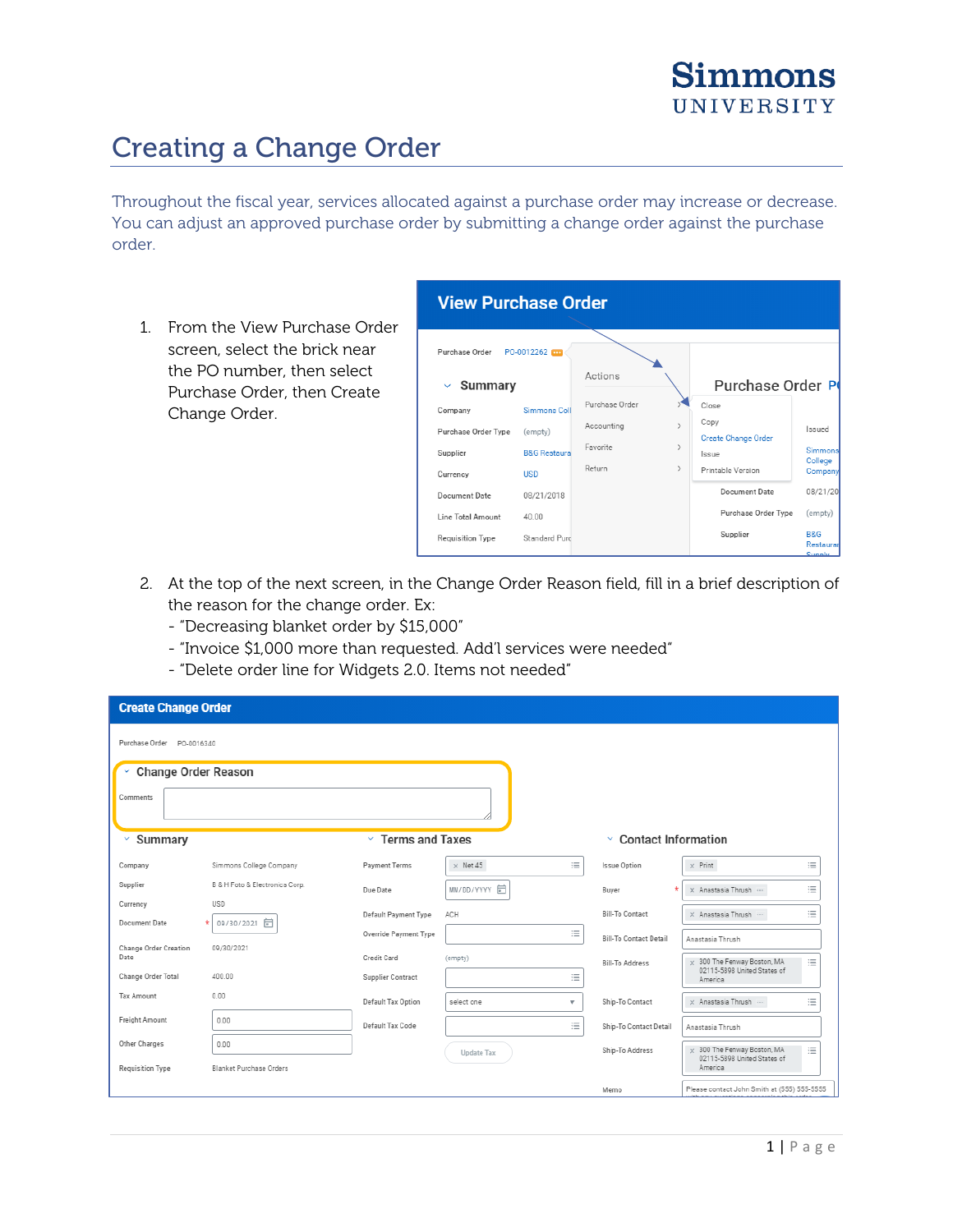## Creating a Change Order

Throughout the fiscal year, services allocated against a purchase order may increase or decrease. You can adjust an approved purchase order by submitting a change order against the purchase order.

1. From the View Purchase Order screen, select the brick near the PO number, then select Purchase Order, then Create Change Order.

| <b>View Purchase Order</b>     |                         |                             |                                    |  |                             |  |  |  |
|--------------------------------|-------------------------|-----------------------------|------------------------------------|--|-----------------------------|--|--|--|
| Purchase Order                 | PO-0012262              |                             |                                    |  |                             |  |  |  |
| <b>Summary</b><br>$\checkmark$ |                         | Actions                     | Purchase Order P                   |  |                             |  |  |  |
| Company                        | Simmons Coll            | Purchase Order              | Close                              |  |                             |  |  |  |
| Purchase Order Type            | (empty)                 | Accounting<br>$\mathcal{P}$ | Copy<br><b>Create Change Order</b> |  | Issued                      |  |  |  |
| Supplier                       | <b>B&amp;G Restaura</b> | Favorite<br>$\mathcal{P}$   | Issue                              |  | Simmons                     |  |  |  |
| Currency                       | <b>USD</b>              | Return<br>$\rightarrow$     | Printable Version                  |  | College<br><b>Company</b>   |  |  |  |
| Document Date                  | 08/21/2018              |                             | Document Date                      |  | 08/21/201                   |  |  |  |
| Line Total Amount              | 40.00                   |                             | Purchase Order Type                |  | (empty)                     |  |  |  |
| Requisition Type               | Standard Purc           |                             | Supplier                           |  | <b>B&amp;G</b><br>Restaurar |  |  |  |

- 2. At the top of the next screen, in the Change Order Reason field, fill in a brief description of the reason for the change order. Ex:
	- "Decreasing blanket order by \$15,000"
	- "Invoice \$1,000 more than requested. Add'l services were needed"
	- "Delete order line for Widgets 2.0. Items not needed"

| <b>Create Change Order</b>            |                                |                          |                   |                         |                                 |                                                                                   |  |  |
|---------------------------------------|--------------------------------|--------------------------|-------------------|-------------------------|---------------------------------|-----------------------------------------------------------------------------------|--|--|
| Purchase Order PO-0016340             |                                |                          |                   |                         |                                 |                                                                                   |  |  |
| Change Order Reason<br>v.<br>Comments |                                |                          |                   |                         |                                 |                                                                                   |  |  |
| v<br>Summary                          |                                | $\times$ Terms and Taxes |                   |                         | <b>Contact Information</b><br>v |                                                                                   |  |  |
| Company                               | Simmons College Company        | Payment Terms            | $\times$ Net 45   | 這                       | <b>Issue Option</b>             | 這<br>$\times$ Print                                                               |  |  |
| Supplier                              | B & H Foto & Electronics Corp. | Due Date                 | MM/DD/YYYY 向      |                         | Buyer                           | 三<br>X Anastasia Thrush                                                           |  |  |
| Currency                              | <b>USD</b>                     | Default Payment Type     | ACH               |                         | <b>Bill-To Contact</b>          | 三<br>$\times$ Anastasia Thrush $\cdots$                                           |  |  |
| Document Date                         | 09/30/2021 同                   | Override Payment Type    |                   | 這                       | <b>Bill-To Contact Detail</b>   | Anastasia Thrush                                                                  |  |  |
| Change Order Creation<br>Date         | 09/30/2021                     | Credit Card              | (empty)           |                         |                                 |                                                                                   |  |  |
| Change Order Total                    | 400.00                         | Supplier Contract        |                   | 這                       | <b>Bill-To Address</b>          | $\times$ 300 The Fenway Boston, MA<br>三<br>02115-5898 United States of<br>America |  |  |
| <b>Tax Amount</b>                     | 0.00                           | Default Tax Option       | select one        | $\overline{\mathbf{v}}$ | Ship-To Contact                 | 三<br>x Anastasia Thrush                                                           |  |  |
| Freight Amount                        | 0.00                           | Default Tax Code         |                   | 這                       | Ship-To Contact Detail          | Anastasia Thrush                                                                  |  |  |
| Other Charges                         | 0.00                           |                          | <b>Update Tax</b> |                         | Ship-To Address                 | $\times$ 300 The Fenway Boston, MA<br>三                                           |  |  |
| Requisition Type                      | Blanket Purchase Orders        |                          |                   |                         |                                 | 02115-5898 United States of<br>America                                            |  |  |
|                                       |                                |                          |                   |                         | Memo                            | Please contact John Smith at (555) 555-5555                                       |  |  |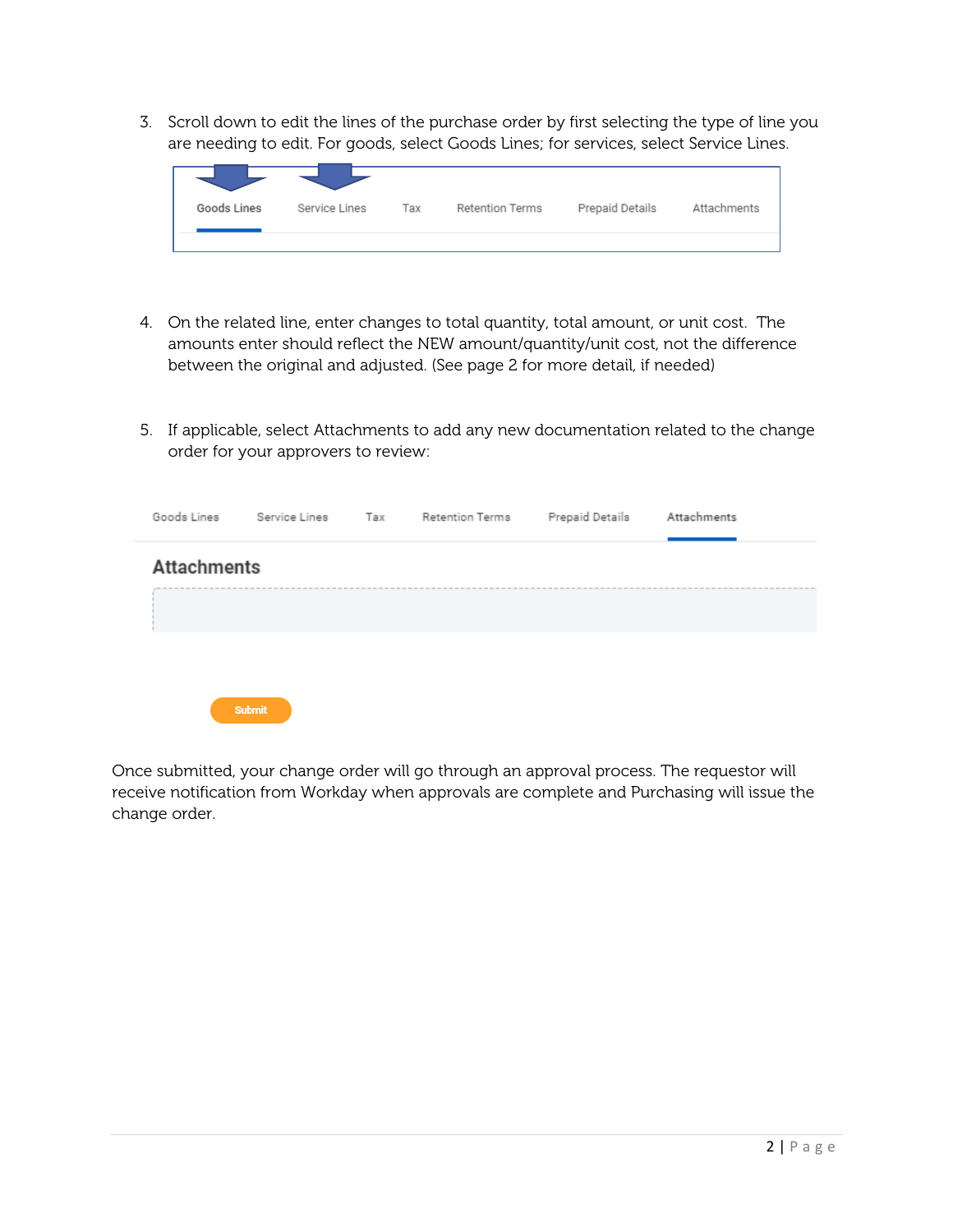3. Scroll down to edit the lines of the purchase order by first selecting the type of line you are needing to edit. For goods, select Goods Lines; for services, select Service Lines.

| Goods Lines | Service Lines | Тах | Retention Terms | Prepaid Details | Attachments |
|-------------|---------------|-----|-----------------|-----------------|-------------|
|             |               |     |                 |                 |             |

- 4. On the related line, enter changes to total quantity, total amount, or unit cost. The amounts enter should reflect the NEW amount/quantity/unit cost, not the difference between the original and adjusted. (See page 2 for more detail, if needed)
- 5. If applicable, select Attachments to add any new documentation related to the change order for your approvers to review:

| Goods Lines        | Service Lines | Tax Retention Terms Prepaid Details | Attachments |
|--------------------|---------------|-------------------------------------|-------------|
| <b>Attachments</b> |               |                                     |             |
|                    |               |                                     |             |
|                    |               |                                     |             |
|                    | <b>Submit</b> |                                     |             |

Once submitted, your change order will go through an approval process. The requestor will receive notification from Workday when approvals are complete and Purchasing will issue the change order.